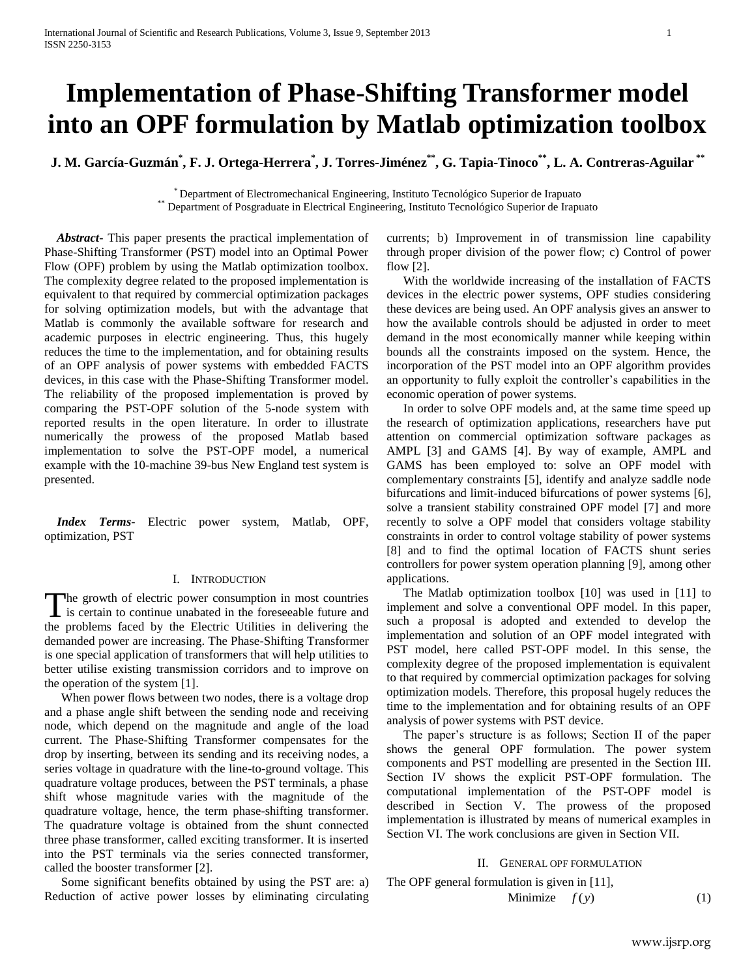# **Implementation of Phase-Shifting Transformer model into an OPF formulation by Matlab optimization toolbox**

**J. M. García-Guzmán\* , F. J. Ortega-Herrera\* , J. Torres-Jiménez\*\* , G. Tapia-Tinoco\*\* , L. A. Contreras-Aguilar \*\***

\* Department of Electromechanical Engineering, Instituto Tecnológico Superior de Irapuato \*\* Department of Posgraduate in Electrical Engineering, Instituto Tecnológico Superior de Irapuato

 *Abstract***-** This paper presents the practical implementation of Phase-Shifting Transformer (PST) model into an Optimal Power Flow (OPF) problem by using the Matlab optimization toolbox. The complexity degree related to the proposed implementation is equivalent to that required by commercial optimization packages for solving optimization models, but with the advantage that Matlab is commonly the available software for research and academic purposes in electric engineering. Thus, this hugely reduces the time to the implementation, and for obtaining results of an OPF analysis of power systems with embedded FACTS devices, in this case with the Phase-Shifting Transformer model. The reliability of the proposed implementation is proved by comparing the PST-OPF solution of the 5-node system with reported results in the open literature. In order to illustrate numerically the prowess of the proposed Matlab based implementation to solve the PST-OPF model, a numerical example with the 10-machine 39-bus New England test system is presented.

 *Index Terms*- Electric power system, Matlab, OPF, optimization, PST

## I. INTRODUCTION

The growth of electric power consumption in most countries The growth of electric power consumption in most countries<br>is certain to continue unabated in the foreseeable future and the problems faced by the Electric Utilities in delivering the demanded power are increasing. The Phase-Shifting Transformer is one special application of transformers that will help utilities to better utilise existing transmission corridors and to improve on the operation of the system [1].

When power flows between two nodes, there is a voltage drop and a phase angle shift between the sending node and receiving node, which depend on the magnitude and angle of the load current. The Phase-Shifting Transformer compensates for the drop by inserting, between its sending and its receiving nodes, a series voltage in quadrature with the line-to-ground voltage. This quadrature voltage produces, between the PST terminals, a phase shift whose magnitude varies with the magnitude of the quadrature voltage, hence, the term phase-shifting transformer. The quadrature voltage is obtained from the shunt connected three phase transformer, called exciting transformer. It is inserted into the PST terminals via the series connected transformer, called the booster transformer [2].

Some significant benefits obtained by using the PST are: a) Reduction of active power losses by eliminating circulating

currents; b) Improvement in of transmission line capability through proper division of the power flow; c) Control of power flow [2].

With the worldwide increasing of the installation of FACTS devices in the electric power systems, OPF studies considering these devices are being used. An OPF analysis gives an answer to how the available controls should be adjusted in order to meet demand in the most economically manner while keeping within bounds all the constraints imposed on the system. Hence, the incorporation of the PST model into an OPF algorithm provides an opportunity to fully exploit the controller's capabilities in the economic operation of power systems.

In order to solve OPF models and, at the same time speed up the research of optimization applications, researchers have put attention on commercial optimization software packages as AMPL [3] and GAMS [4]. By way of example, AMPL and GAMS has been employed to: solve an OPF model with complementary constraints [5], identify and analyze saddle node bifurcations and limit-induced bifurcations of power systems [6], solve a transient stability constrained OPF model [7] and more recently to solve a OPF model that considers voltage stability constraints in order to control voltage stability of power systems [8] and to find the optimal location of FACTS shunt series controllers for power system operation planning [9], among other applications.

The Matlab optimization toolbox [10] was used in [11] to implement and solve a conventional OPF model. In this paper, such a proposal is adopted and extended to develop the implementation and solution of an OPF model integrated with PST model, here called PST-OPF model. In this sense, the complexity degree of the proposed implementation is equivalent to that required by commercial optimization packages for solving optimization models. Therefore, this proposal hugely reduces the time to the implementation and for obtaining results of an OPF analysis of power systems with PST device.

The paper's structure is as follows; Section II of the paper shows the general OPF formulation. The power system components and PST modelling are presented in the Section III. Section IV shows the explicit PST-OPF formulation. The computational implementation of the PST-OPF model is described in Section V. The prowess of the proposed implementation is illustrated by means of numerical examples in Section VI. The work conclusions are given in Section VII.

# II. GENERAL OPF FORMULATION

The OPF general formulation is given in [11], Minimize  $f(y)$  (1)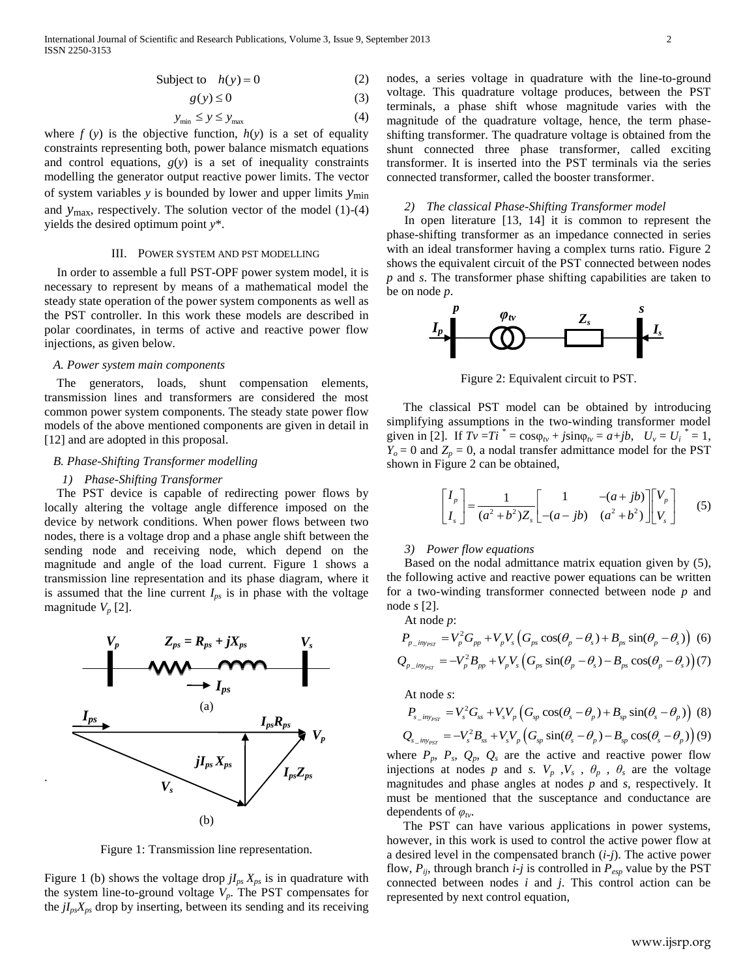$$
Subject to \t h(y) = 0 \t(2)
$$

$$
g(y) \le 0 \tag{3}
$$

$$
y_{\min} \le y \le y_{\max} \tag{4}
$$

where  $f(y)$  is the objective function,  $h(y)$  is a set of equality constraints representing both, power balance mismatch equations and control equations,  $g(y)$  is a set of inequality constraints modelling the generator output reactive power limits. The vector of system variables *y* is bounded by lower and upper limits *y*min and *y*max, respectively. The solution vector of the model (1)-(4) yields the desired optimum point *y*\*.

#### III. POWER SYSTEM AND PST MODELLING

 In order to assemble a full PST-OPF power system model, it is necessary to represent by means of a mathematical model the steady state operation of the power system components as well as the PST controller. In this work these models are described in polar coordinates, in terms of active and reactive power flow injections, as given below.

# *A. Power system main components*

 The generators, loads, shunt compensation elements, transmission lines and transformers are considered the most common power system components. The steady state power flow models of the above mentioned components are given in detail in [12] and are adopted in this proposal.

## *B. Phase-Shifting Transformer modelling*

#### *1) Phase-Shifting Transformer*

.

 The PST device is capable of redirecting power flows by locally altering the voltage angle difference imposed on the device by network conditions. When power flows between two nodes, there is a voltage drop and a phase angle shift between the sending node and receiving node, which depend on the magnitude and angle of the load current. Figure 1 shows a transmission line representation and its phase diagram, where it is assumed that the line current  $I_{ps}$  is in phase with the voltage magnitude  $V_p$  [2].



Figure 1: Transmission line representation.

Figure 1 (b) shows the voltage drop  $jI_{ps}X_{ps}$  is in quadrature with the system line-to-ground voltage  $V_p$ . The PST compensates for the  $jI_{ps}X_{ps}$  drop by inserting, between its sending and its receiving

nodes, a series voltage in quadrature with the line-to-ground voltage. This quadrature voltage produces, between the PST terminals, a phase shift whose magnitude varies with the magnitude of the quadrature voltage, hence, the term phaseshifting transformer. The quadrature voltage is obtained from the shunt connected three phase transformer, called exciting transformer. It is inserted into the PST terminals via the series connected transformer, called the booster transformer.

#### *2) The classical Phase-Shifting Transformer model*

In open literature [13, 14] it is common to represent the phase-shifting transformer as an impedance connected in series with an ideal transformer having a complex turns ratio. Figure 2 shows the equivalent circuit of the PST connected between nodes *p* and *s*. The transformer phase shifting capabilities are taken to be on node *p*.



Figure 2: Equivalent circuit to PST.

The classical PST model can be obtained by introducing simplifying assumptions in the two-winding transformer model given in [2]. If  $Tv = Ti^* = \cos\varphi_{tv} + j\sin\varphi_{tv} = a + jb$ ,  $U_v = U_i^* = 1$ ,  $Y_o = 0$  and  $Z_p = 0$ , a nodal transfer admittance model for the PST shown in Figure 2 can be obtained,

$$
\begin{bmatrix} I_p \\ I_s \end{bmatrix} = \frac{1}{(a^2 + b^2)Z_s} \begin{bmatrix} 1 & -(a+jb) \\ -(a-jb) & (a^2 + b^2) \end{bmatrix} \begin{bmatrix} V_p \\ V_s \end{bmatrix}
$$
 (5)

## *3) Power flow equations*

Based on the nodal admittance matrix equation given by (5), the following active and reactive power equations can be written for a two-winding transformer connected between node *p* and node *s* [2].

At node *p*:

*PST*

At node *p*:  
\n
$$
P_{p_{\text{div}_{PST}}} = V_p^2 G_{pp} + V_p V_s \left( G_{ps} \cos(\theta_p - \theta_s) + B_{ps} \sin(\theta_p - \theta_s) \right)
$$
 (6)  
\n
$$
Q_{p_{\text{div}_{PST}}} = -V_p^2 B_{pp} + V_p V_s \left( G_{ps} \sin(\theta_p - \theta_s) - B_{ps} \cos(\theta_p - \theta_s) \right)
$$
 (7)

At node *s*:  
\n
$$
P_{s_{\text{inly}_{\text{PST}}}} = V_s^2 G_{ss} + V_s V_p \left( G_{sp} \cos(\theta_s - \theta_p) + B_{sp} \sin(\theta_s - \theta_p) \right)
$$
\n
$$
Q_{s_{\text{inly}_{\text{PST}}}} = -V_s^2 B_{ss} + V_s V_p \left( G_{sp} \sin(\theta_s - \theta_p) - B_{sp} \cos(\theta_s - \theta_p) \right)
$$
\n(9)

where  $P_p$ ,  $P_s$ ,  $Q_p$ ,  $Q_s$  are the active and reactive power flow injections at nodes *p* and *s.*  $V_p$ ,  $V_s$ ,  $\theta_p$ ,  $\theta_s$  are the voltage magnitudes and phase angles at nodes *p* and *s,* respectively. It must be mentioned that the susceptance and conductance are dependents of *φtv*.

The PST can have various applications in power systems, however, in this work is used to control the active power flow at a desired level in the compensated branch (*i-j*). The active power flow,  $P_{ij}$ , through branch *i-j* is controlled in  $P_{exp}$  value by the PST connected between nodes *i* and *j*. This control action can be represented by next control equation,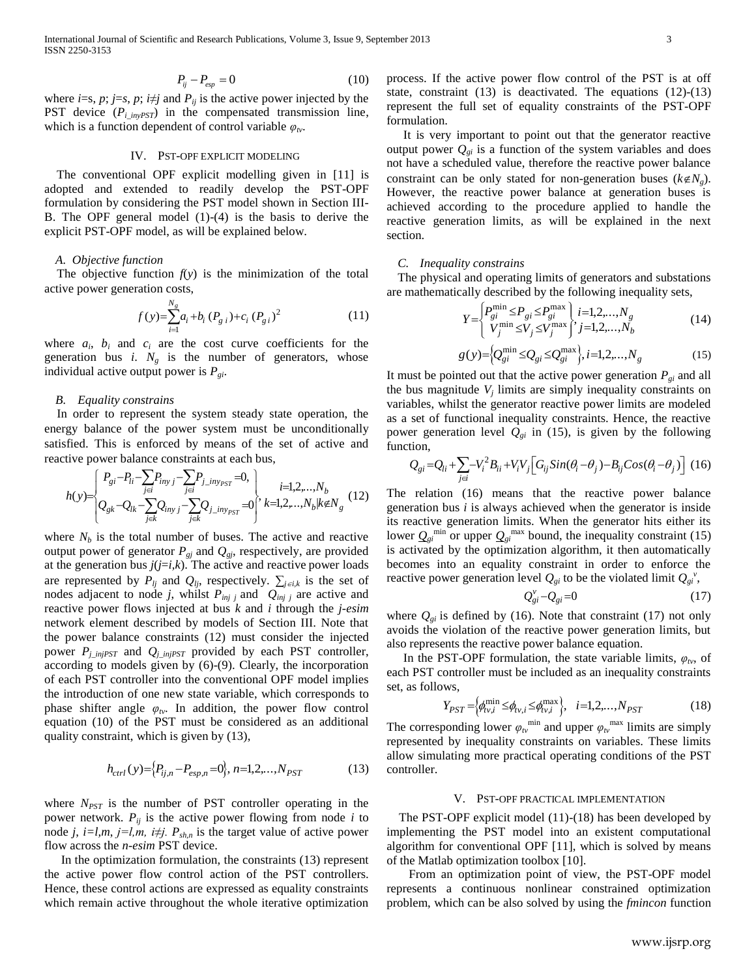$$
P_{ij} - P_{esp} = 0 \tag{10}
$$

where *i*=s, *p*; *j*=*s*, *p*; *i* $\neq$ *j* and *P*<sub>*ij*</sub> is the active power injected by the PST device  $(P_{i\_invPST})$  in the compensated transmission line, which is a function dependent of control variable  $\varphi_{\nu}$ .

## IV. PST-OPF EXPLICIT MODELING

 The conventional OPF explicit modelling given in [11] is adopted and extended to readily develop the PST-OPF formulation by considering the PST model shown in Section III-B. The OPF general model (1)-(4) is the basis to derive the explicit PST-OPF model, as will be explained below.

#### *A. Objective function*

The objective function  $f(y)$  is the minimization of the total active power generation costs,

$$
f(y) = \sum_{i=1}^{N_g} a_i + b_i (P_{g i}) + c_i (P_{g i})^2
$$
 (11)

where  $a_i$ ,  $b_i$  and  $c_i$  are the cost curve coefficients for the generation bus *i*.  $N_g$  is the number of generators, whose individual active output power is *Pgi*.

## *B. Equality constrains*

In order to represent the system steady state operation, the energy balance of the power system must be unconditionally satisfied. This is enforced by means of the set of active and<br>reactive power balance constraints at each bus,<br> $\left\{\n\begin{array}{l}\nP_{gi}-P_{li}-\sum_{j\neq j}P_{invj}-\sum_{j\neq j}P_{j\_inv_{PST}}=0,\\
i=1,2,...,N_b\n\end{array}\n\right\}$ reactive power balance constraints at each bus,<br>  $\left[ P_{gi} - P_{li} - \sum_{i} P_{iny} - \sum_{j} P_{j\_iny_{PST}} = 0, \right]_{i=1}$ 

Prove power balance constraints at each bus,

\n
$$
h(y) = \begin{cases} P_{gi} - P_{li} - \sum_{j \in i} P_{inyj} - \sum_{j \in i} P_{j} - \sum_{j \in j} P_{j} - \sum_{j \in k} P_{j} - \sum_{j \in k} P_{j} - \sum_{j \in k} P_{j} - \sum_{j \in k} P_{j} - \sum_{j \in k} P_{j} - \sum_{j \in k} P_{j} - \sum_{j \in k} P_{j} - \sum_{j \in k} P_{j} - \sum_{j \in k} P_{j} - \sum_{j \in k} P_{j} - \sum_{j \in k} P_{j} - \sum_{j \in k} P_{j} - \sum_{j \in k} P_{j} - \sum_{j \in k} P_{j} - \sum_{j \in k} P_{j} - \sum_{j \in k} P_{j} - \sum_{j \in k} P_{j} - \sum_{j \in k} P_{j} - \sum_{j \in k} P_{j} - \sum_{j \in k} P_{j} - \sum_{j \in k} P_{j} - \sum_{j \in k} P_{j} - \sum_{j \in k} P_{j} - \sum_{j \in k} P_{j} - \sum_{j \in k} P_{j} - \sum_{j \in k} P_{j} - \sum_{j \in k} P_{j} - \sum_{j \in k} P_{j} - \sum_{j \in k} P_{j} - \sum_{j \in k} P_{j} - \sum_{j \in k} P_{j} - \sum_{j \in k} P_{j} - \sum_{j \in k} P_{j} - \sum_{j \in k} P_{j} - \sum_{j \in k} P_{j} - \sum_{j \in k} P_{j} - \sum_{j \in k} P_{j} - \sum_{j \in k} P_{j} - \sum_{j \in k} P_{j} - \sum_{j \in k} P_{j} - \sum_{j \in k} P_{j} - \sum_{j \in k} P_{j} - \sum_{j \in k} P_{j} - \sum_{j \in k} P_{j} - \sum_{j \in k} P_{j} - \sum_{j \in k} P_{j} - \sum_{j \in k} P_{j} - \sum_{j \in k} P_{j} - \sum_{j \in k} P_{j} - \sum_{j \in k} P_{j} - \sum_{j \in k} P_{j} - \sum_{j \in k} P_{j} - \sum_{j \in k} P_{
$$

 $\{F_x = F_y = 0\}$ <br>  $\{F_x = F_z = 0\}$  (10) process it the scale power lighting weak interesting to the scale of the proposal of the scale of the scale of the scale of the scale of the scale of the scale of the scale of the scale where  $N_b$  is the total number of buses. The active and reactive output power of generator  $P_{gi}$  and  $Q_{gi}$ , respectively, are provided at the generation bus  $j(j=i,k)$ . The active and reactive power loads are represented by  $P_{lj}$  and  $Q_{lj}$ , respectively.  $\sum_{j \in i,k}$  is the set of nodes adjacent to node *j*, whilst  $P_{inj}$  and  $Q_{inj}$  are active and reactive power flows injected at bus *k* and *i* through the *j-esim* network element described by models of Section III. Note that the power balance constraints (12) must consider the injected power  $P_i_{i}$  *injPST* and  $Q_i$  *injPST* provided by each PST controller, according to models given by (6)-(9). Clearly, the incorporation of each PST controller into the conventional OPF model implies the introduction of one new state variable, which corresponds to phase shifter angle  $\varphi_{tv}$ . In addition, the power flow control equation (10) of the PST must be considered as an additional quality constraint, which is given by (13),

$$
h_{ctrl}(y) = \{P_{ij,n} - P_{esp,n} = 0\}, n = 1, 2, \dots, N_{PST}
$$
 (13)

where  $N_{PST}$  is the number of PST controller operating in the power network.  $P_{ij}$  is the active power flowing from node *i* to node *j*, *i*=*l*,*m*, *j*=*l*,*m*, *i* $\neq$ *j*. *P*<sub>*sh,n*</sub> is the target value of active power flow across the *n-esim* PST device.

In the optimization formulation, the constraints (13) represent the active power flow control action of the PST controllers. Hence, these control actions are expressed as equality constraints which remain active throughout the whole iterative optimization process. If the active power flow control of the PST is at off state, constraint (13) is deactivated. The equations (12)-(13) represent the full set of equality constraints of the PST-OPF formulation.

It is very important to point out that the generator reactive output power  $Q_{gi}$  is a function of the system variables and does not have a scheduled value, therefore the reactive power balance constraint can be only stated for non-generation buses  $(k \notin N<sub>g</sub>)$ . However, the reactive power balance at generation buses is achieved according to the procedure applied to handle the reactive generation limits, as will be explained in the next section.

# *C. Inequality constrains*

The physical and operating limits of generators and substations

are mathematically described by the following inequality sets,  
\n
$$
Y = \begin{cases} P_{gi}^{\min} \leq P_{gi} \leq P_{gi}^{\max} \\ V_j^{\min} \leq V_j \leq V_j^{\max} \end{cases} \begin{cases} i = 1, 2, ..., N_g \\ j = 1, 2, ..., N_b \end{cases}
$$
\n(14)

$$
g(y) = \Big{ Q_{gi}^{\min} \leq Q_{gi} \leq Q_{gi}^{\max} \Big}, i = 1, 2, ..., N_g
$$
 (15)

It must be pointed out that the active power generation  $P_{gi}$  and all the bus magnitude  $V_j$  limits are simply inequality constraints on variables, whilst the generator reactive power limits are modeled as a set of functional inequality constraints. Hence, the reactive power generation level  $Q_{gi}$  in (15), is given by the following function,<br>  $Q_{gi} = Q_{li} + \sum_{j \in i} -V_i^2 B_{li} + V_i V_j \Big[ G_{ij} Sin(\theta_i - \theta_j) - B_{ij} Cos(\theta_i - \theta_j) \Big]$  (16) function,

$$
Q_{gi} = Q_{li} + \sum_{j \in i} -V_i^2 B_{ii} + V_i V_j \Big[ G_{ij} Sin(\theta_i - \theta_j) - B_{ij} Cos(\theta_i - \theta_j) \Big] (16)
$$

The relation (16) means that the reactive power balance generation bus *i* is always achieved when the generator is inside its reactive generation limits. When the generator hits either its lower  $Q_{gi}^{min}$  or upper  $Q_{gi}^{max}$  bound, the inequality constraint (15) is activated by the optimization algorithm, it then automatically becomes into an equality constraint in order to enforce the reactive power generation level  $Q_{gi}$  to be the violated limit  $Q_{gi}^{\nu}$ ,

$$
Q_{gi}^{\nu} - Q_{gi} = 0 \tag{17}
$$

where  $Q_{gi}$  is defined by (16). Note that constraint (17) not only avoids the violation of the reactive power generation limits, but also represents the reactive power balance equation.

In the PST-OPF formulation, the state variable limits,  $\varphi_{tv}$ , of each PST controller must be included as an inequality constraints set, as follows,

ws,  
\n
$$
Y_{PST} = \left\{ \phi_{tv,i}^{\min} \leq \phi_{tv,i}^{\max} \right\}, \quad i=1,2,...,N_{PST} \tag{18}
$$

The corresponding lower  $\varphi_{t\nu}^{\text{min}}$  and upper  $\varphi_{t\nu}^{\text{max}}$  limits are simply represented by inequality constraints on variables. These limits allow simulating more practical operating conditions of the PST controller.

#### V. PST-OPF PRACTICAL IMPLEMENTATION

 The PST-OPF explicit model (11)-(18) has been developed by implementing the PST model into an existent computational algorithm for conventional OPF [11], which is solved by means of the Matlab optimization toolbox [10].

From an optimization point of view, the PST-OPF model represents a continuous nonlinear constrained optimization problem, which can be also solved by using the *fmincon* function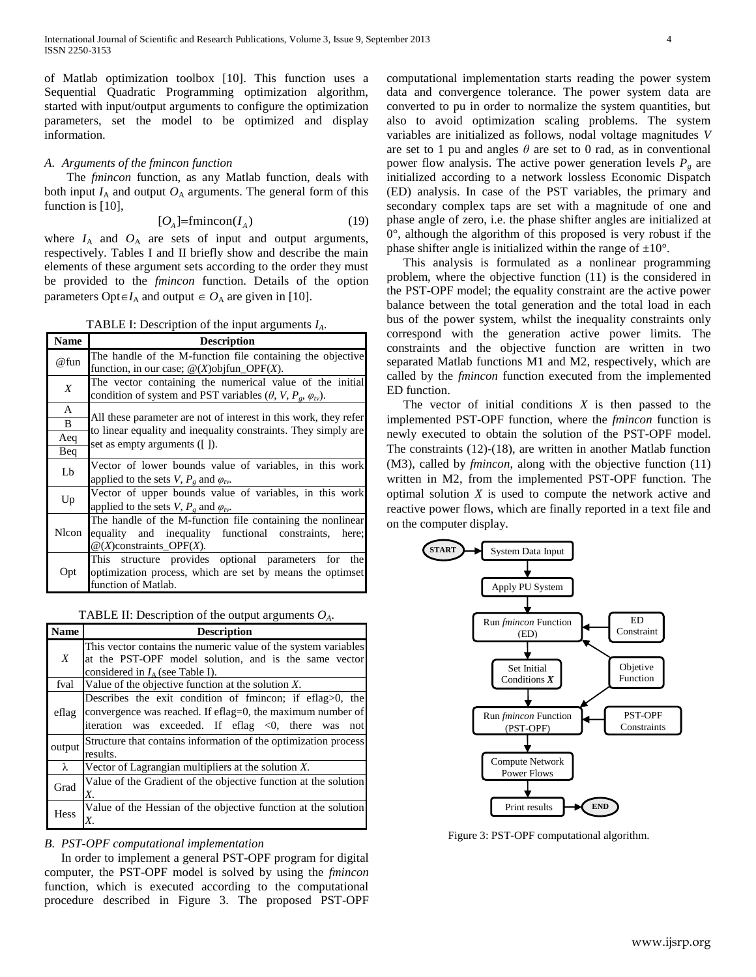of Matlab optimization toolbox [10]. This function uses a Sequential Quadratic Programming optimization algorithm, started with input/output arguments to configure the optimization parameters, set the model to be optimized and display information.

# *A. Arguments of the fmincon function*

The *fmincon* function, as any Matlab function, deals with both input  $I_A$  and output  $O_A$  arguments. The general form of this function is [10],

$$
[O_A] = \text{fmincon}(I_A) \tag{19}
$$

where  $I_A$  and  $O_A$  are sets of input and output arguments, respectively. Tables I and II briefly show and describe the main elements of these argument sets according to the order they must be provided to the *fmincon* function. Details of the option parameters Opt $\in I_A$  and output  $\in O_A$  are given in [10].

TABLE I: Description of the input arguments *IA*.

| <b>Name</b>      | <b>Description</b>                                                                                                                                                  |  |  |  |  |  |
|------------------|---------------------------------------------------------------------------------------------------------------------------------------------------------------------|--|--|--|--|--|
| @fun             | The handle of the M-function file containing the objective<br>function, in our case; $\mathcal{Q}(X)$ objfun_OPF $(X)$ .                                            |  |  |  |  |  |
| $\boldsymbol{X}$ | The vector containing the numerical value of the initial<br>condition of system and PST variables $(\theta, V, P_{\varrho}, \varphi_{\text{tv}})$ .                 |  |  |  |  |  |
| A                |                                                                                                                                                                     |  |  |  |  |  |
| B                | All these parameter are not of interest in this work, they refer<br>to linear equality and inequality constraints. They simply are<br>set as empty arguments ([1]). |  |  |  |  |  |
| Aeq              |                                                                                                                                                                     |  |  |  |  |  |
| Beq              |                                                                                                                                                                     |  |  |  |  |  |
| Lb               | Vector of lower bounds value of variables, in this work<br>applied to the sets V, $P_{\rho}$ and $\varphi_{tv}$ .                                                   |  |  |  |  |  |
| Up               | Vector of upper bounds value of variables, in this work<br>applied to the sets V, $P_{\rho}$ and $\varphi_{tv}$ .                                                   |  |  |  |  |  |
| Nlcon            | The handle of the M-function file containing the nonlinear<br>equality and inequality functional constraints, here;<br>$@$ (X)constraints_OPF(X).                   |  |  |  |  |  |
| Opt              | This structure provides optional parameters for the<br>optimization process, which are set by means the optimset<br>function of Matlab.                             |  |  |  |  |  |

TABLE II: Description of the output arguments *OA*.

| Name             | <b>Description</b>                                                        |  |  |  |  |
|------------------|---------------------------------------------------------------------------|--|--|--|--|
|                  | This vector contains the numeric value of the system variables            |  |  |  |  |
| $\boldsymbol{X}$ | at the PST-OPF model solution, and is the same vector                     |  |  |  |  |
|                  | considered in $I_A$ (see Table I).                                        |  |  |  |  |
| fval             | Value of the objective function at the solution $X$ .                     |  |  |  |  |
| eflag            | Describes the exit condition of fmincon; if eflag $>0$ , the              |  |  |  |  |
|                  | convergence was reached. If eflag=0, the maximum number of                |  |  |  |  |
|                  | iteration was exceeded. If eflag $\langle 0, \rangle$ there<br>was<br>not |  |  |  |  |
| output           | Structure that contains information of the optimization process           |  |  |  |  |
|                  | results.                                                                  |  |  |  |  |
| $\lambda$        | Vector of Lagrangian multipliers at the solution $X$ .                    |  |  |  |  |
| Grad             | Value of the Gradient of the objective function at the solution           |  |  |  |  |
|                  | Х.                                                                        |  |  |  |  |
| <b>Hess</b>      | Value of the Hessian of the objective function at the solution            |  |  |  |  |
|                  |                                                                           |  |  |  |  |

## *B. PST-OPF computational implementation*

In order to implement a general PST-OPF program for digital computer, the PST-OPF model is solved by using the *fmincon* function, which is executed according to the computational procedure described in Figure 3. The proposed PST-OPF computational implementation starts reading the power system data and convergence tolerance. The power system data are converted to pu in order to normalize the system quantities, but also to avoid optimization scaling problems. The system variables are initialized as follows, nodal voltage magnitudes *V* are set to 1 pu and angles  $\theta$  are set to 0 rad, as in conventional power flow analysis. The active power generation levels  $P_g$  are initialized according to a network lossless Economic Dispatch (ED) analysis. In case of the PST variables, the primary and secondary complex taps are set with a magnitude of one and phase angle of zero, i.e. the phase shifter angles are initialized at  $0^{\circ}$ , although the algorithm of this proposed is very robust if the phase shifter angle is initialized within the range of  $\pm 10^{\circ}$ .

This analysis is formulated as a nonlinear programming problem, where the objective function (11) is the considered in the PST-OPF model; the equality constraint are the active power balance between the total generation and the total load in each bus of the power system, whilst the inequality constraints only correspond with the generation active power limits. The constraints and the objective function are written in two separated Matlab functions M1 and M2, respectively, which are called by the *fmincon* function executed from the implemented ED function.

The vector of initial conditions *X* is then passed to the implemented PST-OPF function, where the *fmincon* function is newly executed to obtain the solution of the PST-OPF model. The constraints (12)-(18), are written in another Matlab function (M3), called by *fmincon*, along with the objective function (11) written in M2, from the implemented PST-OPF function. The optimal solution *X* is used to compute the network active and reactive power flows, which are finally reported in a text file and on the computer display.



Figure 3: PST-OPF computational algorithm.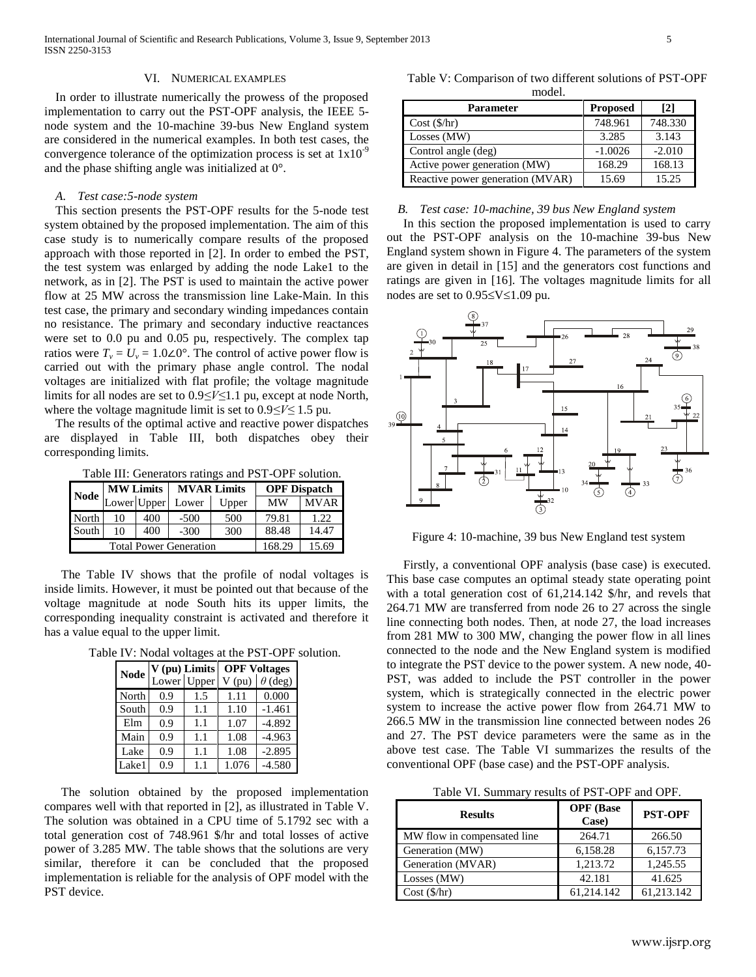## VI. NUMERICAL EXAMPLES

In order to illustrate numerically the prowess of the proposed implementation to carry out the PST-OPF analysis, the IEEE 5 node system and the 10-machine 39-bus New England system are considered in the numerical examples. In both test cases, the convergence tolerance of the optimization process is set at  $1x10^{-9}$ and the phase shifting angle was initialized at 0°.

## *A. Test case:5-node system*

This section presents the PST-OPF results for the 5-node test system obtained by the proposed implementation. The aim of this case study is to numerically compare results of the proposed approach with those reported in [2]. In order to embed the PST, the test system was enlarged by adding the node Lake1 to the network, as in [2]. The PST is used to maintain the active power flow at 25 MW across the transmission line Lake-Main. In this test case, the primary and secondary winding impedances contain no resistance. The primary and secondary inductive reactances were set to 0.0 pu and 0.05 pu, respectively. The complex tap ratios were  $T_v = U_v = 1.0 \times 10^{-6}$ . The control of active power flow is carried out with the primary phase angle control. The nodal voltages are initialized with flat profile; the voltage magnitude limits for all nodes are set to 0.9*≤V≤*1.1 pu, except at node North, where the voltage magnitude limit is set to 0.9*≤V≤* 1.5 pu.

The results of the optimal active and reactive power dispatches are displayed in Table III, both dispatches obey their corresponding limits.

Table III: Generators ratings and PST-OPF solution.

| Node                          | <b>MW Limits</b> |     | <b>MVAR Limits</b> |        | <b>OPF Dispatch</b> |             |
|-------------------------------|------------------|-----|--------------------|--------|---------------------|-------------|
|                               | Lower Upper      |     | Lower              | Upper  | <b>MW</b>           | <b>MVAR</b> |
| North                         | 10               | 400 | $-500$             | 500    | 79.81               | 1.22.       |
| South                         | 10               | 400 | $-300$             | 300    | 88.48               | 14.47       |
| <b>Total Power Generation</b> |                  |     |                    | 168.29 | 15.69               |             |

The Table IV shows that the profile of nodal voltages is inside limits. However, it must be pointed out that because of the voltage magnitude at node South hits its upper limits, the corresponding inequality constraint is activated and therefore it has a value equal to the upper limit.

Table IV: Nodal voltages at the PST-OPF solution.

| <b>Node</b> | V (pu) Limits |             | <b>OPF Voltages</b> |                |  |
|-------------|---------------|-------------|---------------------|----------------|--|
|             |               | Lower Upper | $V$ (pu)            | $\theta$ (deg) |  |
| North       | 0.9           | 1.5         | 1.11                | 0.000          |  |
| South       | 0.9           | 1.1         | 1.10                | $-1.461$       |  |
| Elm         | 0.9           | 1.1         | 1.07                | $-4.892$       |  |
| Main        | 0.9           | 1.1         | 1.08                | $-4.963$       |  |
| Lake        | 0.9           | 1.1         | 1.08                | $-2.895$       |  |
| Lake1       | 0.9           | 1.1         | 1.076               | $-4.580$       |  |

The solution obtained by the proposed implementation compares well with that reported in [2], as illustrated in Table V. The solution was obtained in a CPU time of 5.1792 sec with a total generation cost of 748.961 \$/hr and total losses of active power of 3.285 MW. The table shows that the solutions are very similar, therefore it can be concluded that the proposed implementation is reliable for the analysis of OPF model with the PST device.

Table V: Comparison of two different solutions of PST-OPF model.

| <b>Parameter</b>                 | <b>Proposed</b> | $\lceil 2 \rceil$ |
|----------------------------------|-----------------|-------------------|
| Cost(S/hr)                       | 748.961         | 748.330           |
| Losses (MW)                      | 3.285           | 3.143             |
| Control angle (deg)              | $-1.0026$       | $-2.010$          |
| Active power generation (MW)     | 168.29          | 168.13            |
| Reactive power generation (MVAR) | 15.69           | 15.25             |

## *B. Test case: 10-machine, 39 bus New England system*

In this section the proposed implementation is used to carry out the PST-OPF analysis on the 10-machine 39-bus New England system shown in Figure 4. The parameters of the system are given in detail in [15] and the generators cost functions and ratings are given in [16]. The voltages magnitude limits for all nodes are set to  $0.95 \le V \le 1.09$  pu.



Figure 4: 10-machine, 39 bus New England test system

Firstly, a conventional OPF analysis (base case) is executed. This base case computes an optimal steady state operating point with a total generation cost of 61,214.142 \$/hr, and revels that 264.71 MW are transferred from node 26 to 27 across the single line connecting both nodes. Then, at node 27, the load increases from 281 MW to 300 MW, changing the power flow in all lines connected to the node and the New England system is modified to integrate the PST device to the power system. A new node, 40- PST, was added to include the PST controller in the power system, which is strategically connected in the electric power system to increase the active power flow from 264.71 MW to 266.5 MW in the transmission line connected between nodes 26 and 27. The PST device parameters were the same as in the above test case. The Table VI summarizes the results of the conventional OPF (base case) and the PST-OPF analysis.

Table VI. Summary results of PST-OPF and OPF.

| <b>Results</b>              | <b>OPF</b> (Base<br>Case) | <b>PST-OPF</b> |
|-----------------------------|---------------------------|----------------|
| MW flow in compensated line | 264.71                    | 266.50         |
| Generation (MW)             | 6,158.28                  | 6,157.73       |
| Generation (MVAR)           | 1,213.72                  | 1,245.55       |
| Losses (MW)                 | 42.181                    | 41.625         |
| Cost (\$/hr)                | 61.214.142                | 61.213.142     |